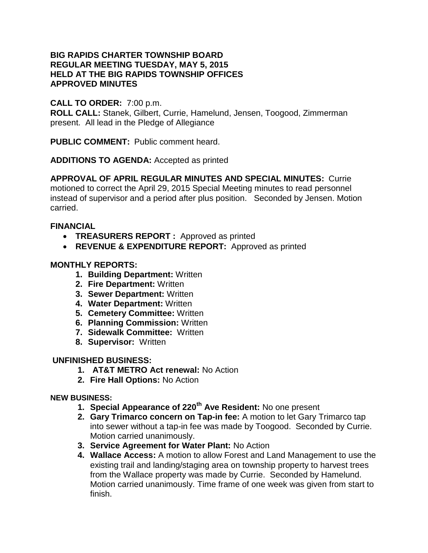### **BIG RAPIDS CHARTER TOWNSHIP BOARD REGULAR MEETING TUESDAY, MAY 5, 2015 HELD AT THE BIG RAPIDS TOWNSHIP OFFICES APPROVED MINUTES**

# **CALL TO ORDER:** 7:00 p.m.

**ROLL CALL:** Stanek, Gilbert, Currie, Hamelund, Jensen, Toogood, Zimmerman present. All lead in the Pledge of Allegiance

**PUBLIC COMMENT:** Public comment heard.

**ADDITIONS TO AGENDA:** Accepted as printed

**APPROVAL OF APRIL REGULAR MINUTES AND SPECIAL MINUTES:** Currie

motioned to correct the April 29, 2015 Special Meeting minutes to read personnel instead of supervisor and a period after plus position. Seconded by Jensen. Motion carried.

## **FINANCIAL**

- **TREASURERS REPORT :** Approved as printed
- **REVENUE & EXPENDITURE REPORT:** Approved as printed

## **MONTHLY REPORTS:**

- **1. Building Department:** Written
- **2. Fire Department:** Written
- **3. Sewer Department:** Written
- **4. Water Department:** Written
- **5. Cemetery Committee:** Written
- **6. Planning Commission:** Written
- **7. Sidewalk Committee:** Written
- **8. Supervisor:** Written

### **UNFINISHED BUSINESS:**

- **1. AT&T METRO Act renewal:** No Action
- **2. Fire Hall Options:** No Action

### **NEW BUSINESS:**

- **1. Special Appearance of 220th Ave Resident:** No one present
- **2. Gary Trimarco concern on Tap-in fee:** A motion to let Gary Trimarco tap into sewer without a tap-in fee was made by Toogood. Seconded by Currie. Motion carried unanimously.
- **3. Service Agreement for Water Plant:** No Action
- **4. Wallace Access:** A motion to allow Forest and Land Management to use the existing trail and landing/staging area on township property to harvest trees from the Wallace property was made by Currie. Seconded by Hamelund. Motion carried unanimously. Time frame of one week was given from start to finish.